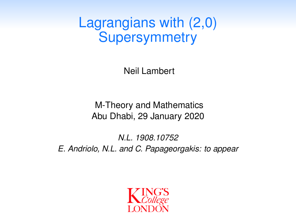Lagrangians with (2,0) **Supersymmetry** 

Neil Lambert

M-Theory and Mathematics Abu Dhabi, 29 January 2020

*N.L. 1908.10752 E. Andriolo, N.L. and C. Papageorgakis: to appear*

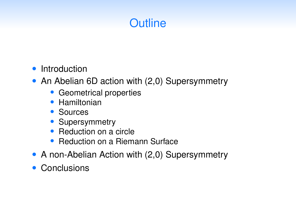# **Outline**

#### *•* Introduction

- *•* An Abelian 6D action with (2,0) Supersymmetry
	- *•* Geometrical properties
	- *•* Hamiltonian
	- *•* Sources
	- *•* Supersymmetry
	- *•* Reduction on a circle
	- *•* Reduction on a Riemann Surface
- *•* A non-Abelian Action with (2,0) Supersymmetry
- *•* Conclusions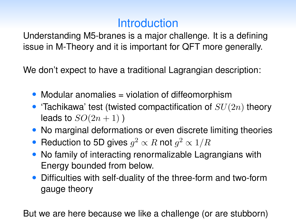# **Introduction**

Understanding M5-branes is a major challenge. It is a defining issue in M-Theory and it is important for QFT more generally.

We don't expect to have a traditional Lagrangian description:

- Modular anomalies = violation of diffeomorphism
- *•* 'Tachikawa' test (twisted compactification of *SU*(2*n*) theory leads to  $SO(2n+1)$ )
- No marginal deformations or even discrete limiting theories
- Reduction to 5D gives  $q^2 \propto R$  not  $q^2 \propto 1/R$
- *•* No family of interacting renormalizable Lagrangians with Energy bounded from below.
- *•* Difficulties with self-duality of the three-form and two-form gauge theory

But we are here because we like a challenge (or are stubborn)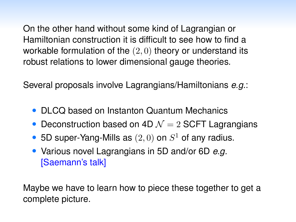On the other hand without some kind of Lagrangian or Hamiltonian construction it is difficult to see how to find a workable formulation of the (2*,* 0) theory or understand its robust relations to lower dimensional gauge theories.

Several proposals involve Lagrangians/Hamiltonians *e.g.*:

- *•* DLCQ based on Instanton Quantum Mechanics
- Deconstruction based on 4D  $\mathcal{N}=2$  SCFT Lagrangians
- *•* 5D super-Yang-Mills as (2*,* 0) on *S*<sup>1</sup> of any radius.
- *•* Various novel Lagrangians in 5D and/or 6D *e.g.* [Saemann's talk]

Maybe we have to learn how to piece these together to get a complete picture.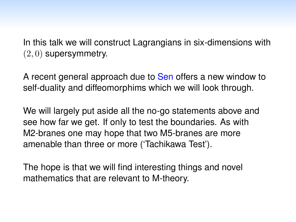In this talk we will construct Lagrangians in six-dimensions with (2*,* 0) supersymmetry.

A recent general approach due to Sen offers a new window to self-duality and diffeomorphims which we will look through.

We will largely put aside all the no-go statements above and see how far we get. If only to test the boundaries. As with M2-branes one may hope that two M5-branes are more amenable than three or more ('Tachikawa Test').

The hope is that we will find interesting things and novel mathematics that are relevant to M-theory.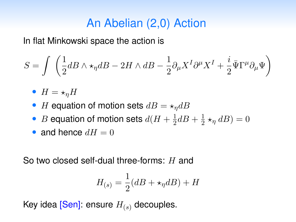# An Abelian (2,0) Action

In flat Minkowski space the action is

$$
S=\int\;\left(\frac{1}{2}dB\wedge\star_{\eta}dB-2H\wedge dB-\frac{1}{2}\partial_{\mu}X^{I}\partial^{\mu}X^{I}+\frac{i}{2}\bar{\Psi}\Gamma^{\mu}\partial_{\mu}\Psi\right)
$$

- $H = \star_n H$
- *H* equation of motion sets  $dB = \star_{\eta} dB$
- *B* equation of motion sets  $d(H + \frac{1}{2}dB + \frac{1}{2} \star_{\eta} dB) = 0$
- and hence  $dH = 0$

So two closed self-dual three-forms: *H* and

$$
H_{(s)} = \frac{1}{2}(dB + \star_{\eta} dB) + H
$$

Key idea [Sen]: ensure *H*(*s*) decouples.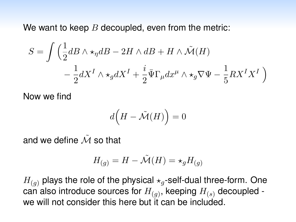We want to keep *B* decoupled, even from the metric:

$$
S = \int \left( \frac{1}{2} dB \wedge \star_{\eta} dB - 2H \wedge dB + H \wedge \tilde{\mathcal{M}}(H) - \frac{1}{2} dX^I \wedge \star_g dX^I + \frac{i}{2} \bar{\Psi} \Gamma_{\mu} dx^{\mu} \wedge \star_g \nabla \Psi - \frac{1}{5} R X^I X^I \right)
$$

Now we find

$$
d\Big(H-\tilde{\mathcal{M}}(H)\Big)=0
$$

and we define  $\tilde{M}$  so that

$$
H_{(g)} = H - \tilde{\mathcal{M}}(H) = \star_g H_{(g)}
$$

 $H_{(q)}$  plays the role of the physical  $\star_q$ -self-dual three-form. One can also introduce sources for *H*(*g*), keeping *H*(*s*) decoupled we will not consider this here but it can be included.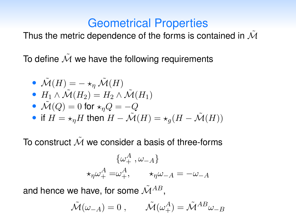## Geometrical Properties

Thus the metric dependence of the forms is contained in *<sup>M</sup>*˜

To define  $\tilde{\mathcal{M}}$  we have the following requirements

\n- \n
$$
\tilde{\mathcal{M}}(H) = -\star_{\eta} \tilde{\mathcal{M}}(H)
$$
\n
\n- \n
$$
H_1 \wedge \tilde{\mathcal{M}}(H_2) = H_2 \wedge \tilde{\mathcal{M}}(H_1)
$$
\n
\n- \n
$$
\tilde{\mathcal{M}}(Q) = 0 \text{ for } \star_{\eta} Q = -Q
$$
\n
\n- \n if  $H = \star_{\eta} H$  then  $H - \tilde{\mathcal{M}}(H) = \star_g (H - \tilde{\mathcal{M}}(H))$ \n
\n

To construct  $\tilde{\mathcal{M}}$  we consider a basis of three-forms

$$
\{\omega_+^A, \omega_{-A}\}
$$
  

$$
\star_{\eta}\omega_+^A = \omega_+^A, \qquad \star_{\eta}\omega_{-A} = -\omega_{-A}
$$

and hence we have, for some  $\tilde{M}^{AB}$ ,

$$
\tilde{\mathcal{M}}(\omega_{-A}) = 0 , \qquad \tilde{\mathcal{M}}(\omega_{+}^{A}) = \tilde{\mathcal{M}}^{AB} \omega_{-B}
$$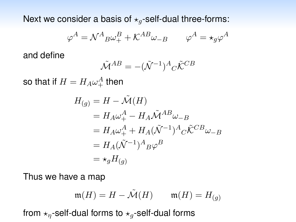Next we consider a basis of  $\star_q$ -self-dual three-forms:

$$
\varphi^A = \mathcal{N}^A{}_B \omega^B_+ + \mathcal{K}^{AB} \omega_{-B} \qquad \varphi^A = \star_g \varphi^A
$$

and define

$$
\tilde{\mathcal{M}}^{AB} = -(\tilde{\mathcal{N}}^{-1})^A{}_C \tilde{\mathcal{K}}^{CB}
$$

so that if  $H = H_A \omega_+^A$  then

$$
H_{(g)} = H - \tilde{\mathcal{M}}(H)
$$
  
=  $H_A \omega_+^A - H_A \tilde{\mathcal{M}}^{AB} \omega_{-B}$   
=  $H_A \omega_+^A + H_A (\tilde{\mathcal{N}}^{-1})^A{}_C \tilde{\mathcal{K}}^{CB} \omega_{-B}$   
=  $H_A (\tilde{\mathcal{N}}^{-1})^A{}_B \varphi^B$   
=  $\star_g H_{(g)}$ 

Thus we have a map

$$
\mathfrak{m}(H)=H-\tilde{\mathcal{M}}(H)\qquad \mathfrak{m}(H)=H_{(g)}
$$

from  $\star_n$ -self-dual forms to  $\star_q$ -self-dual forms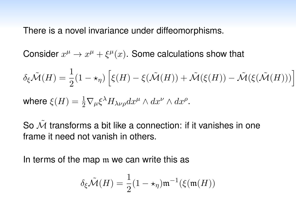There is a novel invariance under diffeomorphisms.

Consider  $x^{\mu} \rightarrow x^{\mu} + \xi^{\mu}(x)$ . Some calculations show that

$$
\delta_{\xi}\tilde{\mathcal{M}}(H) = \frac{1}{2}(1 - \star_{\eta}) \left[ \xi(H) - \xi(\tilde{\mathcal{M}}(H)) + \tilde{\mathcal{M}}(\xi(H)) - \tilde{\mathcal{M}}(\xi(\tilde{\mathcal{M}}(H))) \right]
$$
  
where  $\xi(H) = \frac{1}{2}\nabla_{\mu}\xi^{\lambda}H_{\lambda\nu\rho}dx^{\mu} \wedge dx^{\nu} \wedge dx^{\rho}$ .

So *<sup>M</sup>*˜ transforms <sup>a</sup> bit like <sup>a</sup> connection: if it vanishes in one frame it need not vanish in others.

In terms of the map m we can write this as

$$
\delta_{\xi} \tilde{\mathcal{M}}(H) = \frac{1}{2} (1 - \star_{\eta}) \mathfrak{m}^{-1}(\xi(\mathfrak{m}(H)))
$$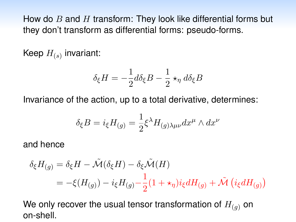How do *B* and *H* transform: They look like differential forms but they don't transform as differential forms: pseudo-forms.

Keep *H*(*s*) invariant:

$$
\delta_{\xi}H = -\frac{1}{2}d\delta_{\xi}B - \frac{1}{2} \star_{\eta} d\delta_{\xi}B
$$

Invariance of the action, up to a total derivative, determines:

$$
\delta_{\xi}B = i_{\xi}H_{(g)} = \frac{1}{2}\xi^{\lambda}H_{(g)\lambda\mu\nu}dx^{\mu} \wedge dx^{\nu}
$$

and hence

$$
\delta_{\xi}H_{(g)} = \delta_{\xi}H - \tilde{\mathcal{M}}(\delta_{\xi}H) - \delta_{\xi}\tilde{\mathcal{M}}(H)
$$
  
=  $-\xi(H_{(g)}) - i_{\xi}H_{(g)} - \frac{1}{2}(1 + \star_{\eta})i_{\xi}dH_{(g)} + \tilde{\mathcal{M}}(i_{\xi}dH_{(g)})$ 

We only recover the usual tensor transformation of  $H_{(q)}$  on on-shell.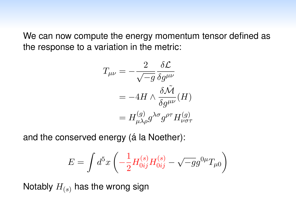We can now compute the energy momentum tensor defined as the response to a variation in the metric:

$$
T_{\mu\nu} = -\frac{2}{\sqrt{-g}} \frac{\delta \mathcal{L}}{\delta g^{\mu\nu}}
$$
  
= -4H \wedge \frac{\delta \tilde{\mathcal{M}}}{\delta g^{\mu\nu}}(H)  
= H\_{\mu\lambda\rho}^{(g)} g^{\lambda\sigma} g^{\rho\tau} H\_{\nu\sigma\tau}^{(g)}

and the conserved energy (á la Noether):

$$
E=\int d^5x \left( -\frac{1}{2} H^{(s)}_{0ij}H^{(s)}_{0ij} - \sqrt{-g}g^{0\mu}T_{\mu 0} \right)
$$

Notably  $H_{(s)}$  has the wrong sign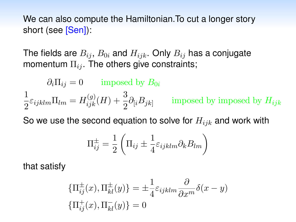We can also compute the Hamiltonian.To cut a longer story short (see [Sen]):

The fields are  $B_{ij}$ ,  $B_{0i}$  and  $H_{ijk}$ . Only  $B_{ij}$  has a conjugate momentum  $\Pi_{ij}$ . The others give constraints;

$$
\partial_i \Pi_{ij} = 0 \qquad \text{imposed by } B_{0i}
$$

$$
\frac{1}{2} \varepsilon_{ijklm} \Pi_{lm} = H_{ijk}^{(g)}(H) + \frac{3}{2} \partial_{[i} B_{jk]} \qquad \text{imposed by imposed by } H_{ijk}
$$

So we use the second equation to solve for *Hijk* and work with

$$
\Pi_{ij}^{\pm} = \frac{1}{2} \left( \Pi_{ij} \pm \frac{1}{4} \varepsilon_{ijklm} \partial_k B_{lm} \right)
$$

that satisfy

$$
\{\Pi_{ij}^{\pm}(x),\Pi_{kl}^{\pm}(y)\} = \pm \frac{1}{4}\varepsilon_{ijklm}\frac{\partial}{\partial x^m}\delta(x-y)
$$

$$
\{\Pi_{ij}^+(x),\Pi_{kl}^-(y)\} = 0
$$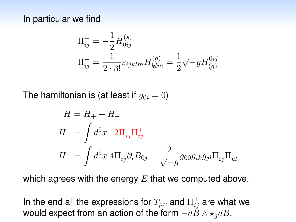In particular we find

$$
\Pi_{ij}^{+} = -\frac{1}{2} H_{0ij}^{(s)}
$$
\n
$$
\Pi_{ij}^{-} = \frac{1}{2 \cdot 3!} \varepsilon_{ijklm} H_{klm}^{(g)} = \frac{1}{2} \sqrt{-g} H_{(g)}^{0ij}
$$

The hamiltonian is (at least if  $g_{0i} = 0$ )

$$
H = H_{+} + H_{-}
$$
  
\n
$$
H_{-} = \int d^{5}x - 2\Pi_{ij}^{+}\Pi_{ij}^{+}
$$
  
\n
$$
H_{-} = \int d^{5}x \ 4\Pi_{ij}^{-}\partial_{i}B_{0j} - \frac{2}{\sqrt{-g}}g_{00}g_{ik}g_{jl}\Pi_{ij}^{-}\Pi_{kl}^{-}
$$

which agrees with the energy *E* that we computed above.

In the end all the expressions for  $T_{\mu\nu}$  and  $\Pi^\pm_{ij}$  are what we would expect from an action of the form  $-d\ddot{B} \wedge \star_q dB$ .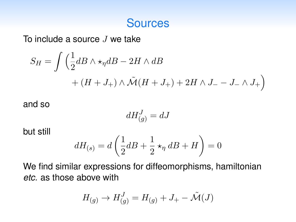#### **Sources**

To include a source *J* we take

$$
S_H = \int \left(\frac{1}{2}dB \wedge \star_{\eta} dB - 2H \wedge dB + (H + J_+) \wedge \tilde{\mathcal{M}}(H + J_+) + 2H \wedge J_- - J_- \wedge J_+\right)
$$

and so

$$
dH_{(g)}^J = dJ
$$

but still

$$
dH_{(s)} = d\left(\frac{1}{2}dB + \frac{1}{2} \star_{\eta} dB + H\right) = 0
$$

We find similar expressions for diffeomorphisms, hamiltonian *etc.* as those above with

$$
H_{(g)} \to H_{(g)}^J = H_{(g)} + J_+ - \tilde{\mathcal{M}}(J)
$$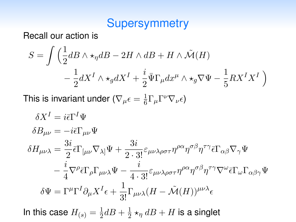### **Supersymmetry**

Recall our action is

$$
S = \int \left( \frac{1}{2} dB \wedge \star_{\eta} dB - 2H \wedge dB + H \wedge \tilde{\mathcal{M}}(H) - \frac{1}{2} dX^I \wedge \star_g dX^I + \frac{i}{2} \bar{\Psi} \Gamma_{\mu} dx^{\mu} \wedge \star_g \nabla \Psi - \frac{1}{5} R X^I X^I \right)
$$

This is invariant under  $(\nabla_{\mu}\epsilon = \frac{1}{6}\Gamma_{\mu}\Gamma^{\nu}\nabla_{\nu}\epsilon)$ 

$$
\delta X^{I} = i\bar{\epsilon}\Gamma^{I}\Psi
$$
  
\n
$$
\delta B_{\mu\nu} = -i\bar{\epsilon}\Gamma_{\mu\nu}\Psi
$$
  
\n
$$
\delta H_{\mu\nu\lambda} = \frac{3i}{2}\bar{\epsilon}\Gamma_{[\mu\nu}\nabla_{\lambda]}\Psi + \frac{3i}{2\cdot 3!}\epsilon_{\mu\nu\lambda\rho\sigma\tau}\eta^{\rho\alpha}\eta^{\sigma\beta}\eta^{\tau\gamma}\bar{\epsilon}\Gamma_{\alpha\beta}\nabla_{\gamma}\Psi
$$
  
\n
$$
-\frac{i}{4}\nabla^{\rho}\bar{\epsilon}\Gamma_{\rho}\Gamma_{\mu\nu\lambda}\Psi - \frac{i}{4\cdot 3!}\epsilon_{\mu\nu\lambda\rho\sigma\tau}\eta^{\rho\alpha}\eta^{\sigma\beta}\eta^{\tau\gamma}\nabla^{\omega}\bar{\epsilon}\Gamma_{\omega}\Gamma_{\alpha\beta\gamma}\Psi
$$
  
\n
$$
\delta\Psi = \Gamma^{\mu}\Gamma^{I}\partial_{\mu}X^{I}\epsilon + \frac{1}{3!}\Gamma_{\mu\nu\lambda}(H - \tilde{\mathcal{M}}(H))^{\mu\nu\lambda}\epsilon
$$

In this case  $H_{(s)} = \frac{1}{2}dB + \frac{1}{2} \star_{\eta} dB + H$  is a singlet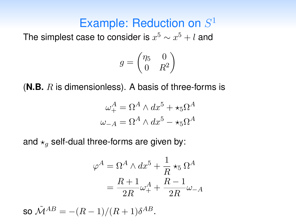# Example: Reduction on *S*<sup>1</sup>

The simplest case to consider is  $x^5 \sim x^5 + l$  and

$$
g = \begin{pmatrix} \eta_5 & 0 \\ 0 & R^2 \end{pmatrix}
$$

(**N.B.** *R* is dimensionless). A basis of three-forms is

$$
\omega_+^A = \Omega^A \wedge dx^5 + \star_5 \Omega^A
$$

$$
\omega_{-A} = \Omega^A \wedge dx^5 - \star_5 \Omega^A
$$

and  $\star_q$  self-dual three-forms are given by:

$$
\varphi^A = \Omega^A \wedge dx^5 + \frac{1}{R} \star_5 \Omega^A
$$

$$
= \frac{R+1}{2R} \omega_+^A + \frac{R-1}{2R} \omega_{-A}
$$

 $\tilde{M}^{AB} = -(R-1)/(R+1)\delta^{AB}.$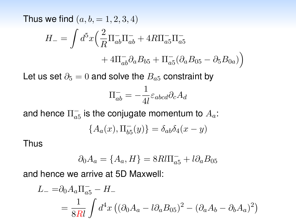Thus we find  $(a, b, = 1, 2, 3, 4)$ 

$$
H_{-} = \int d^{5}x \left(\frac{2}{R}\Pi_{ab}^{-}\Pi_{ab}^{-} + 4R\Pi_{a5}^{-}\Pi_{a5}^{-} + 4\Pi_{ab}^{-}\partial_{a}B_{b5} + \Pi_{a5}^{-}(\partial_{a}B_{05} - \partial_{5}B_{0a})\right)
$$

Let us set  $\partial_5 = 0$  and solve the  $B_{a5}$  constraint by

$$
\Pi_{ab}^- = -\frac{1}{4l} \varepsilon_{abcd} \partial_c A_d
$$

and hence  $\Pi^-_{a5}$  is the conjugate momentum to  $A_a$ :

$$
\{A_a(x), \Pi_{b5}^-(y)\} = \delta_{ab}\delta_4(x-y)
$$

Thus

$$
\partial_0 A_a = \{A_a, H\} = 8Rl\Pi_{a5}^- + l\partial_a B_{05}
$$

and hence we arrive at 5D Maxwell:

$$
L_{-} = \partial_0 A_a \Pi_{a5}^- - H_{-}
$$
  
= 
$$
\frac{1}{8Rl} \int d^4x \left( (\partial_0 A_a - l \partial_a B_{05})^2 - (\partial_a A_b - \partial_b A_a)^2 \right)
$$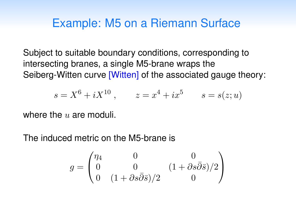## Example: M5 on a Riemann Surface

Subject to suitable boundary conditions, corresponding to intersecting branes, a single M5-brane wraps the Seiberg-Witten curve [Witten] of the associated gauge theory:

$$
s = X^6 + iX^{10}
$$
,  $z = x^4 + ix^5$   $s = s(z; u)$ 

where the *u* are moduli.

The induced metric on the M5-brane is

$$
g = \begin{pmatrix} \eta_4 & 0 & 0 \\ 0 & 0 & (1 + \partial s \bar{\partial} \bar{s})/2 \\ 0 & (1 + \partial s \bar{\partial} \bar{s})/2 & 0 \end{pmatrix}
$$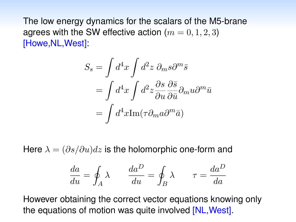The low energy dynamics for the scalars of the M5-brane agrees with the SW effective action  $(m = 0, 1, 2, 3)$ [Howe,NL,West]:

$$
S_s = \int d^4x \int d^2z \ \partial_m s \partial^m \bar{s}
$$
  
= 
$$
\int d^4x \int d^2z \frac{\partial s}{\partial u} \frac{\partial \bar{s}}{\partial \bar{u}} \partial_m u \partial^m \bar{u}
$$
  
= 
$$
\int d^4x \text{Im}(\tau \partial_m a \partial^m \bar{a})
$$

Here  $\lambda = (\partial s/\partial u)dz$  is the holomorphic one-form and

$$
\frac{da}{du} = \oint_A \lambda \qquad \frac{da^D}{du} = \oint_B \lambda \qquad \tau = \frac{da^D}{da}
$$

However obtaining the correct vector equations knowing only the equations of motion was quite involved [NL,West].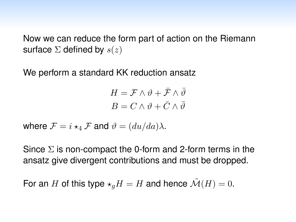Now we can reduce the form part of action on the Riemann surface Σ defined by *s*(*z*)

We perform a standard KK reduction ansatz

 $H = \mathcal{F} \wedge \vartheta + \bar{\mathcal{F}} \wedge \bar{\vartheta}$  $B = C \wedge \vartheta + \overline{C} \wedge \overline{\vartheta}$ 

where  $\mathcal{F} = i \star_4 \mathcal{F}$  and  $\vartheta = (du/da)\lambda$ .

Since  $\Sigma$  is non-compact the 0-form and 2-form terms in the ansatz give divergent contributions and must be dropped.

For an *H* of this type  $\star_q H = H$  and hence  $\mathcal{M}(H) = 0$ .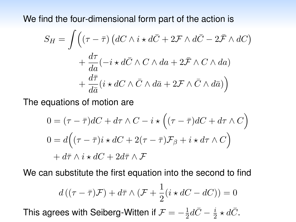We find the four-dimensional form part of the action is

$$
S_H = \int \left( (\tau - \bar{\tau}) \left( dC \wedge i \star d\bar{C} + 2\mathcal{F} \wedge d\bar{C} - 2\bar{\mathcal{F}} \wedge dC \right) \right. \\
\left. + \frac{d\tau}{da} (-i \star d\bar{C} \wedge C \wedge da + 2\bar{\mathcal{F}} \wedge C \wedge da) \right. \\
\left. + \frac{d\bar{\tau}}{d\bar{a}} (i \star dC \wedge \bar{C} \wedge d\bar{a} + 2\mathcal{F} \wedge \bar{C} \wedge d\bar{a}) \right)
$$

The equations of motion are

$$
0 = (\tau - \bar{\tau})dC + d\tau \wedge C - i \star ((\tau - \bar{\tau})dC + d\tau \wedge C)
$$
  
\n
$$
0 = d((\tau - \bar{\tau})i \star dC + 2(\tau - \bar{\tau})\mathcal{F}_{\beta} + i \star d\tau \wedge C)
$$
  
\n
$$
+ d\bar{\tau} \wedge i \star dC + 2d\bar{\tau} \wedge \mathcal{F}
$$

We can substitute the first equation into the second to find

$$
d((\tau - \overline{\tau})\mathcal{F}) + d\overline{\tau} \wedge (\mathcal{F} + \frac{1}{2}(i \star dC - dC)) = 0
$$

This agrees with Seiberg-Witten if  $\mathcal{F} = -\frac{1}{2}d\bar{C} - \frac{i}{2}\star d\bar{C}.$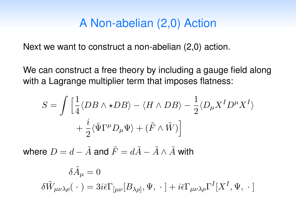### A Non-abelian (2,0) Action

Next we want to construct a non-abelian (2,0) action.

We can construct a free theory by including a gauge field along with a Lagrange multiplier term that imposes flatness:

$$
S = \int \left[ \frac{1}{4} \langle DB \wedge \star DB \rangle - \langle H \wedge DB \rangle - \frac{1}{2} \langle D_{\mu} X^{I} D^{\mu} X^{I} \rangle \right. \\ \left. + \frac{i}{2} \langle \bar{\Psi} \Gamma^{\mu} D_{\mu} \Psi \rangle + (\tilde{F} \wedge \tilde{W}) \right]
$$

where  $D = d - \tilde{A}$  and  $\tilde{F} = d\tilde{A} - \tilde{A} \wedge \tilde{A}$  with

$$
\delta \tilde{A}_{\mu} = 0
$$
  

$$
\delta \tilde{W}_{\mu\nu\lambda\rho}(\cdot) = 3i\bar{\epsilon}\Gamma_{[\mu\nu}[B_{\lambda\rho]}, \Psi, \cdot] + i\bar{\epsilon}\Gamma_{\mu\nu\lambda\rho}\Gamma^{I}[X^{I}, \Psi, \cdot]
$$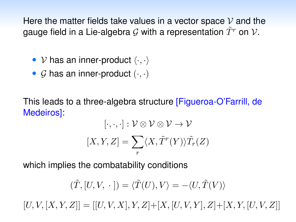Here the matter fields take values in a vector space *V* and the gauge field in a Lie-algebra  $\mathcal G$  with a representation  $\tilde T^r$  on  $\mathcal V$ .

- *• V* has an inner-product 〈*·, ·*〉
- *• G* has an inner-product (*·, ·*)

This leads to a three-algebra structure [Figueroa-O'Farrill, de Medeiros]:

$$
[\cdot, \cdot, \cdot] : \mathcal{V} \otimes \mathcal{V} \otimes \mathcal{V} \to \mathcal{V}
$$

$$
[X, Y, Z] = \sum_{r} \langle X, \tilde{T}^{r}(Y) \rangle \tilde{T}_{r}(Z)
$$

which implies the combatability conditions

$$
(\tilde{T},[U,V,\;\cdot\;])=\langle \tilde{T}(U),V\rangle=-\langle U,\tilde{T}(V)\rangle
$$

 $[U, V, [X, Y, Z]] = [[U, V, X], Y, Z] + [X, [U, V, Y], Z] + [X, Y, [U, V, Z]]$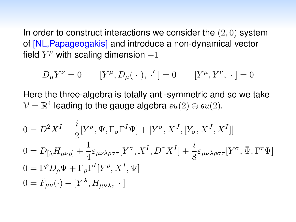In order to construct interactions we consider the (2*,* 0) system of [NL,Papageogakis] and introduce a non-dynamical vector field  $Y^{\mu}$  with scaling dimension  $-1$ 

$$
D_{\mu}Y^{\nu} = 0 \qquad [Y^{\mu}, D_{\mu}(\cdot), \cdot'] = 0 \qquad [Y^{\mu}, Y^{\nu}, \cdot] = 0
$$

Here the three-algebra is totally anti-symmetric and so we take  $V = \mathbb{R}^4$  leading to the gauge algebra  $su(2) \oplus su(2)$ .

$$
0 = D^2 X^I - \frac{i}{2} [Y^\sigma, \bar{\Psi}, \Gamma_\sigma \Gamma^I \Psi] + [Y^\sigma, X^J, [Y_\sigma, X^J, X^I]]
$$
  
\n
$$
0 = D_{[\lambda} H_{\mu\nu\rho]} + \frac{1}{4} \varepsilon_{\mu\nu\lambda\rho\sigma\tau} [Y^\sigma, X^I, D^\tau X^I] + \frac{i}{8} \varepsilon_{\mu\nu\lambda\rho\sigma\tau} [Y^\sigma, \bar{\Psi}, \Gamma^\tau \Psi]
$$
  
\n
$$
0 = \Gamma^\rho D_\rho \Psi + \Gamma_\rho \Gamma^I [Y^\rho, X^I, \Psi]
$$
  
\n
$$
0 = \tilde{F}_{\mu\nu}(\cdot) - [Y^\lambda, H_{\mu\nu\lambda}, \cdot]
$$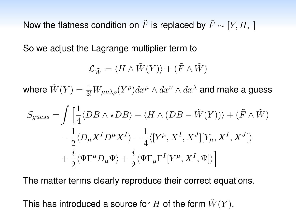Now the flatness condition on  $\tilde{F}$  is replaced by  $\tilde{F} \sim [Y, H, ]$ 

So we adjust the Lagrange multiplier term to

$$
\mathcal{L}_{\tilde{W}} = \langle H \wedge \tilde{W}(Y) \rangle + (\tilde{F} \wedge \tilde{W})
$$

where  $\tilde{W}(Y) = \frac{1}{3!}W_{\mu\nu\lambda\rho}(Y^\rho)dx^\mu\wedge dx^\nu\wedge dx^\lambda$  and make a guess

$$
S_{guess} = \int \left[ \frac{1}{4} \langle DB \wedge \star DB \rangle - \langle H \wedge (DB - \tilde{W}(Y)) \rangle + (\tilde{F} \wedge \tilde{W}) \right] - \frac{1}{2} \langle D_{\mu} X^{I} D^{\mu} X^{I} \rangle - \frac{1}{4} \langle [Y^{\mu}, X^{I}, X^{J}] [Y_{\mu}, X^{I}, X^{J}] \rangle + \frac{i}{2} \langle \bar{\Psi} \Gamma^{\mu} D_{\mu} \Psi \rangle + \frac{i}{2} \langle \bar{\Psi} \Gamma_{\mu} \Gamma^{I} [Y^{\mu}, X^{I}, \Psi] \rangle
$$

The matter terms clearly reproduce their correct equations.

This has introduced a source for *H* of the form  $\tilde{W}(Y)$ .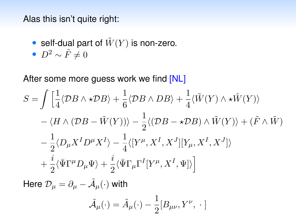Alas this isn't quite right:

- self-dual part of  $\tilde{W}(Y)$  is non-zero.
- $D^2 \sim \tilde{F} \neq 0$

After some more guess work we find [NL]

$$
S = \int \left[ \frac{1}{4} \langle \mathcal{D}B \wedge \star \mathcal{D}B \rangle + \frac{1}{6} \langle \mathcal{D}B \wedge DB \rangle + \frac{1}{4} \langle \tilde{W}(Y) \wedge \star \tilde{W}(Y) \rangle \right.- \langle H \wedge (\mathcal{D}B - \tilde{W}(Y)) \rangle - \frac{1}{2} \langle (\mathcal{D}B - \star \mathcal{D}B) \wedge \tilde{W}(Y) \rangle + (\tilde{F} \wedge \tilde{W}) - \frac{1}{2} \langle D_{\mu} X^{I} D^{\mu} X^{I} \rangle - \frac{1}{4} \langle [Y^{\mu}, X^{I}, X^{J}] [Y_{\mu}, X^{I}, X^{J}] \rangle + \frac{i}{2} \langle \bar{\Psi} \Gamma^{\mu} D_{\mu} \Psi \rangle + \frac{i}{2} \langle \bar{\Psi} \Gamma_{\mu} \Gamma^{I} [Y^{\mu}, X^{I}, \Psi] \rangle
$$

Here  $\mathcal{D}_{\mu} = \partial_{\mu} - \tilde{\mathcal{A}}_{\mu}(\cdot)$  with

$$
\tilde{\mathcal{A}}_{\mu}(\cdot) = \tilde{A}_{\mu}(\cdot) - \frac{1}{2}[B_{\mu\nu}, Y^{\nu}, \cdot]
$$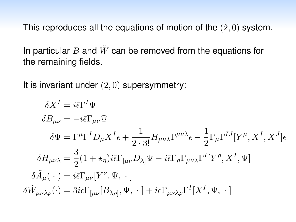This reproduces all the equations of motion of the (2*,* 0) system.

In particular *B* and  $\tilde{W}$  can be removed from the equations for the remaining fields.

It is invariant under (2*,* 0) supersymmetry:

$$
\delta X^{I} = i\bar{\epsilon}\Gamma^{I}\Psi
$$
  
\n
$$
\delta B_{\mu\nu} = -i\bar{\epsilon}\Gamma_{\mu\nu}\Psi
$$
  
\n
$$
\delta \Psi = \Gamma^{\mu}\Gamma^{I}D_{\mu}X^{I}\epsilon + \frac{1}{2\cdot 3!}H_{\mu\nu\lambda}\Gamma^{\mu\nu\lambda}\epsilon - \frac{1}{2}\Gamma_{\mu}\Gamma^{IJ}[Y^{\mu}, X^{I}, X^{J}]\epsilon
$$
  
\n
$$
\delta H_{\mu\nu\lambda} = \frac{3}{2}(1 + \star_{\eta})i\bar{\epsilon}\Gamma_{[\mu\nu}D_{\lambda]}\Psi - i\bar{\epsilon}\Gamma_{\rho}\Gamma_{\mu\nu\lambda}\Gamma^{I}[Y^{\rho}, X^{I}, \Psi]
$$
  
\n
$$
\delta \tilde{A}_{\mu}(\cdot) = i\bar{\epsilon}\Gamma_{\mu\nu}[Y^{\nu}, \Psi, \cdot]
$$
  
\n
$$
\delta \tilde{W}_{\mu\nu\lambda\rho}(\cdot) = 3i\bar{\epsilon}\Gamma_{[\mu\nu}[B_{\lambda\rho]}, \Psi, \cdot] + i\bar{\epsilon}\Gamma_{\mu\nu\lambda\rho}\Gamma^{I}[X^{I}, \Psi, \cdot]
$$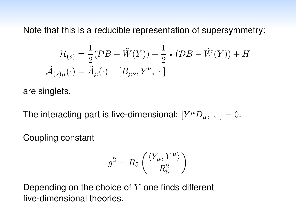Note that this is a reducible representation of supersymmetry:

$$
\mathcal{H}_{(s)} = \frac{1}{2}(\mathcal{D}B - \tilde{W}(Y)) + \frac{1}{2} \star (\mathcal{D}B - \tilde{W}(Y)) + H
$$

$$
\tilde{\mathcal{A}}_{(s)\mu}(\cdot) = \tilde{A}_{\mu}(\cdot) - [B_{\mu\nu}, Y^{\nu}, \cdot]
$$

are singlets.

The interacting part is five-dimensional:  $[Y^{\mu}D_{\mu},$ ,  $] = 0$ .

Coupling constant

$$
g^2 = R_5 \left( \frac{\langle Y_\mu, Y^\mu \rangle}{R_5^2} \right)
$$

Depending on the choice of *Y* one finds different five-dimensional theories.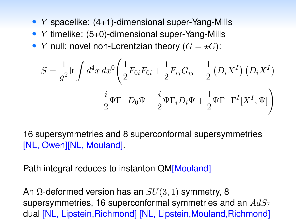- *• Y* spacelike: (4+1)-dimensional super-Yang-Mills
- *• Y* timelike: (5+0)-dimensional super-Yang-Mills
- *Y* null: novel non-Lorentzian theory  $(G = \star G)$ :

$$
S = \frac{1}{g^2} \text{tr} \int d^4 x \, dx^0 \left( \frac{1}{2} F_{0i} F_{0i} + \frac{1}{2} F_{ij} G_{ij} - \frac{1}{2} \left( D_i X^I \right) \left( D_i X^I \right) - \frac{i}{2} \bar{\Psi} \Gamma_- D_0 \Psi + \frac{i}{2} \bar{\Psi} \Gamma_i D_i \Psi + \frac{1}{2} \bar{\Psi} \Gamma_- \Gamma^I [X^I, \Psi] \right)
$$

16 supersymmetries and 8 superconformal supersymmetries [NL, Owen][NL, Mouland].

Path integral reduces to instanton QM[Mouland]

An Ω-deformed version has an *SU*(3*,* 1) symmetry, 8 supersymmetries, 16 superconformal symmetries and an *AdS*<sup>7</sup> dual [NL, Lipstein,Richmond] [NL, Lipstein,Mouland,Richmond]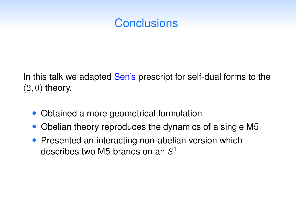# **Conclusions**

In this talk we adapted Sen's prescript for self-dual forms to the (2*,* 0) theory.

- *•* Obtained a more geometrical formulation
- *•* Obelian theory reproduces the dynamics of a single M5
- Presented an interacting non-abelian version which describes two M5-branes on an *S*<sup>1</sup>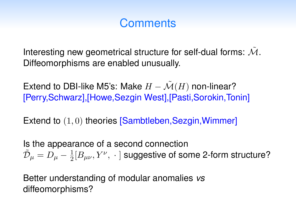# **Comments**

Interesting new geometrical structure for self-dual forms:  $\tilde{\mathcal{M}}$ . Diffeomorphisms are enabled unusually.

Extend to DBI-like M5's: Make  $H - \mathcal{M}(H)$  non-linear? [Perry,Schwarz],[Howe,Sezgin West],[Pasti,Sorokin,Tonin]

Extend to  $(1, 0)$  theories **[Sambtleben, Sezgin, Wimmer]** 

Is the appearance of a second connection  $\tilde{\mathcal{D}}_{\mu}=D_{\mu}-\frac{1}{2}[B_{\mu\nu},Y^{\nu},\;\cdot\;]$  suggestive of some 2-form structure?

Better understanding of modular anomalies *vs* diffeomorphisms?